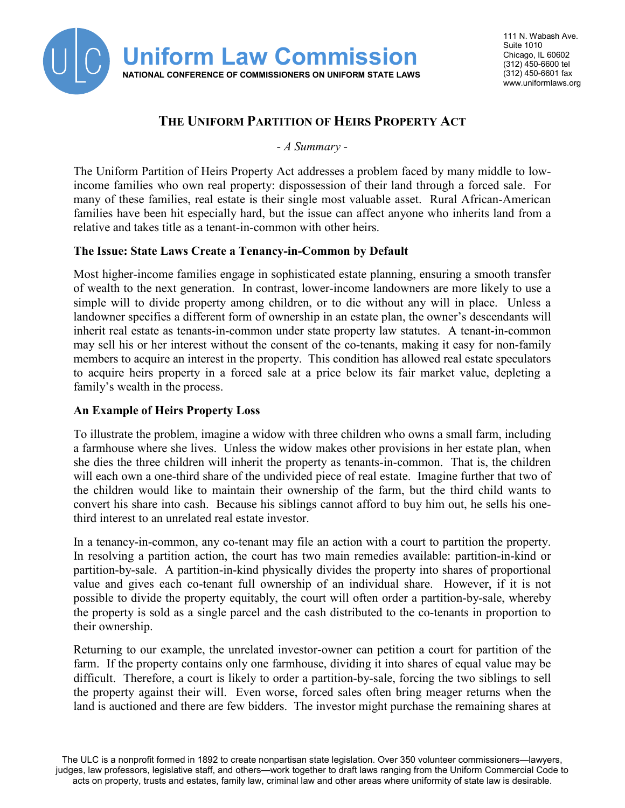

# **THE UNIFORM PARTITION OF HEIRS PROPERTY ACT**

*- A Summary -*

 many of these families, real estate is their single most valuable asset. Rural African-American The Uniform Partition of Heirs Property Act addresses a problem faced by many middle to lowincome families who own real property: dispossession of their land through a forced sale. For families have been hit especially hard, but the issue can affect anyone who inherits land from a relative and takes title as a tenant-in-common with other heirs.

### **The Issue: State Laws Create a Tenancy-in-Common by Default**

 simple will to divide property among children, or to die without any will in place. Unless a landowner specifies a different form of ownership in an estate plan, the owner's descendants will members to acquire an interest in the property. This condition has allowed real estate speculators to acquire heirs property in a forced sale at a price below its fair market value, depleting a Most higher-income families engage in sophisticated estate planning, ensuring a smooth transfer of wealth to the next generation. In contrast, lower-income landowners are more likely to use a inherit real estate as tenants-in-common under state property law statutes. A tenant-in-common may sell his or her interest without the consent of the co-tenants, making it easy for non-family family's wealth in the process.

### **An Example of Heirs Property Loss**

 To illustrate the problem, imagine a widow with three children who owns a small farm, including a farmhouse where she lives. Unless the widow makes other provisions in her estate plan, when she dies the three children will inherit the property as tenants-in-common. That is, the children will each own a one-third share of the undivided piece of real estate. Imagine further that two of the children would like to maintain their ownership of the farm, but the third child wants to convert his share into cash. Because his siblings cannot afford to buy him out, he sells his onethird interest to an unrelated real estate investor.

In a tenancy-in-common, any co-tenant may file an action with a court to partition the property. In a tenancy-in-common, any co-tenant may file an action with a court to partition the property. In resolving a partition action, the court has two main remedies available: partition-in-kind or possible to divide the property equitably, the court will often order a partition-by-sale, whereby the property is sold as a single parcel and the cash distributed to the co-tenants in proportion to partition-by-sale. A partition-in-kind physically divides the property into shares of proportional value and gives each co-tenant full ownership of an individual share. However, if it is not their ownership.

 difficult. Therefore, a court is likely to order a partition-by-sale, forcing the two siblings to sell the property against their will. Even worse, forced sales often bring meager returns when the Returning to our example, the unrelated investor-owner can petition a court for partition of the farm. If the property contains only one farmhouse, dividing it into shares of equal value may be land is auctioned and there are few bidders. The investor might purchase the remaining shares at